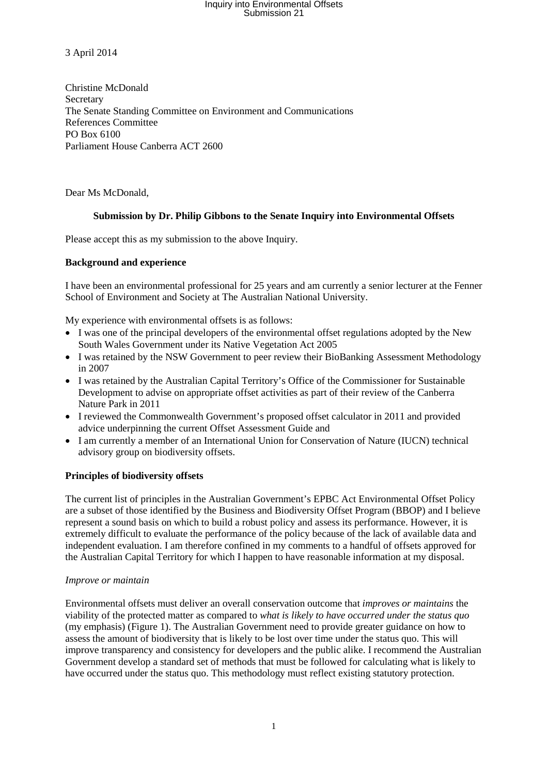3 April 2014

Christine McDonald Secretary The Senate Standing Committee on Environment and Communications References Committee PO Box 6100 Parliament House Canberra ACT 2600

Dear Ms McDonald,

### **Submission by Dr. Philip Gibbons to the Senate Inquiry into Environmental Offsets**

Please accept this as my submission to the above Inquiry.

### **Background and experience**

I have been an environmental professional for 25 years and am currently a senior lecturer at the Fenner School of Environment and Society at The Australian National University.

My experience with environmental offsets is as follows:

- I was one of the principal developers of the environmental offset regulations adopted by the New South Wales Government under its Native Vegetation Act 2005
- I was retained by the NSW Government to peer review their BioBanking Assessment Methodology in 2007
- I was retained by the Australian Capital Territory's Office of the Commissioner for Sustainable Development to advise on appropriate offset activities as part of their review of the Canberra Nature Park in 2011
- I reviewed the Commonwealth Government's proposed offset calculator in 2011 and provided advice underpinning the current Offset Assessment Guide and
- I am currently a member of an International Union for Conservation of Nature (IUCN) technical advisory group on biodiversity offsets.

### **Principles of biodiversity offsets**

The current list of principles in the Australian Government's EPBC Act Environmental Offset Policy are a subset of those identified by the Business and Biodiversity Offset Program (BBOP) and I believe represent a sound basis on which to build a robust policy and assess its performance. However, it is extremely difficult to evaluate the performance of the policy because of the lack of available data and independent evaluation. I am therefore confined in my comments to a handful of offsets approved for the Australian Capital Territory for which I happen to have reasonable information at my disposal.

### *Improve or maintain*

Environmental offsets must deliver an overall conservation outcome that *improves or maintains* the viability of the protected matter as compared to *what is likely to have occurred under the status quo* (my emphasis) (Figure 1). The Australian Government need to provide greater guidance on how to assess the amount of biodiversity that is likely to be lost over time under the status quo. This will improve transparency and consistency for developers and the public alike. I recommend the Australian Government develop a standard set of methods that must be followed for calculating what is likely to have occurred under the status quo. This methodology must reflect existing statutory protection.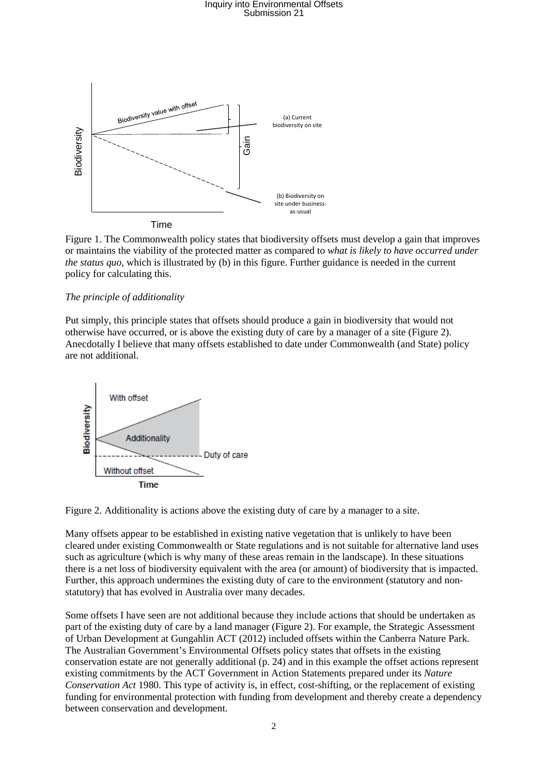

Figure 1. The Commonwealth policy states that biodiversity offsets must develop a gain that improves or maintains the viability of the protected matter as compared to *what is likely to have occurred under the status quo*, which is illustrated by (b) in this figure. Further guidance is needed in the current policy for calculating this.

#### *The principle of additionality*

Put simply, this principle states that offsets should produce a gain in biodiversity that would not otherwise have occurred, or is above the existing duty of care by a manager of a site (Figure 2). Anecdotally I believe that many offsets established to date under Commonwealth (and State) policy are not additional.



Figure 2. Additionality is actions above the existing duty of care by a manager to a site.

Many offsets appear to be established in existing native vegetation that is unlikely to have been cleared under existing Commonwealth or State regulations and is not suitable for alternative land uses such as agriculture (which is why many of these areas remain in the landscape). In these situations there is a net loss of biodiversity equivalent with the area (or amount) of biodiversity that is impacted. Further, this approach undermines the existing duty of care to the environment (statutory and nonstatutory) that has evolved in Australia over many decades.

Some offsets I have seen are not additional because they include actions that should be undertaken as part of the existing duty of care by a land manager (Figure 2). For example, the Strategic Assessment of Urban Development at Gungahlin ACT (2012) included offsets within the Canberra Nature Park. The Australian Government's Environmental Offsets policy states that offsets in the existing conservation estate are not generally additional (p. 24) and in this example the offset actions represent existing commitments by the ACT Government in Action Statements prepared under its *Nature Conservation Act* 1980. This type of activity is, in effect, cost-shifting, or the replacement of existing funding for environmental protection with funding from development and thereby create a dependency between conservation and development.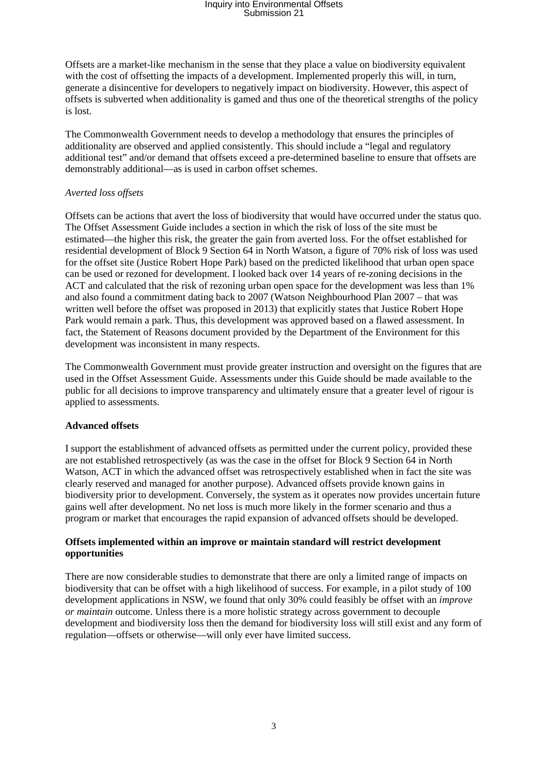Offsets are a market-like mechanism in the sense that they place a value on biodiversity equivalent with the cost of offsetting the impacts of a development. Implemented properly this will, in turn, generate a disincentive for developers to negatively impact on biodiversity. However, this aspect of offsets is subverted when additionality is gamed and thus one of the theoretical strengths of the policy is lost.

The Commonwealth Government needs to develop a methodology that ensures the principles of additionality are observed and applied consistently. This should include a "legal and regulatory additional test" and/or demand that offsets exceed a pre-determined baseline to ensure that offsets are demonstrably additional—as is used in carbon offset schemes.

### *Averted loss offsets*

Offsets can be actions that avert the loss of biodiversity that would have occurred under the status quo. The Offset Assessment Guide includes a section in which the risk of loss of the site must be estimated—the higher this risk, the greater the gain from averted loss. For the offset established for residential development of Block 9 Section 64 in North Watson, a figure of 70% risk of loss was used for the offset site (Justice Robert Hope Park) based on the predicted likelihood that urban open space can be used or rezoned for development. I looked back over 14 years of re-zoning decisions in the ACT and calculated that the risk of rezoning urban open space for the development was less than 1% and also found a commitment dating back to 2007 (Watson Neighbourhood Plan 2007 – that was written well before the offset was proposed in 2013) that explicitly states that Justice Robert Hope Park would remain a park. Thus, this development was approved based on a flawed assessment. In fact, the Statement of Reasons document provided by the Department of the Environment for this development was inconsistent in many respects.

The Commonwealth Government must provide greater instruction and oversight on the figures that are used in the Offset Assessment Guide. Assessments under this Guide should be made available to the public for all decisions to improve transparency and ultimately ensure that a greater level of rigour is applied to assessments.

### **Advanced offsets**

I support the establishment of advanced offsets as permitted under the current policy, provided these are not established retrospectively (as was the case in the offset for Block 9 Section 64 in North Watson, ACT in which the advanced offset was retrospectively established when in fact the site was clearly reserved and managed for another purpose). Advanced offsets provide known gains in biodiversity prior to development. Conversely, the system as it operates now provides uncertain future gains well after development. No net loss is much more likely in the former scenario and thus a program or market that encourages the rapid expansion of advanced offsets should be developed.

### **Offsets implemented within an improve or maintain standard will restrict development opportunities**

There are now considerable studies to demonstrate that there are only a limited range of impacts on biodiversity that can be offset with a high likelihood of success. For example, in a pilot study of 100 development applications in NSW, we found that only 30% could feasibly be offset with an *improve or maintain* outcome. Unless there is a more holistic strategy across government to decouple development and biodiversity loss then the demand for biodiversity loss will still exist and any form of regulation—offsets or otherwise—will only ever have limited success.